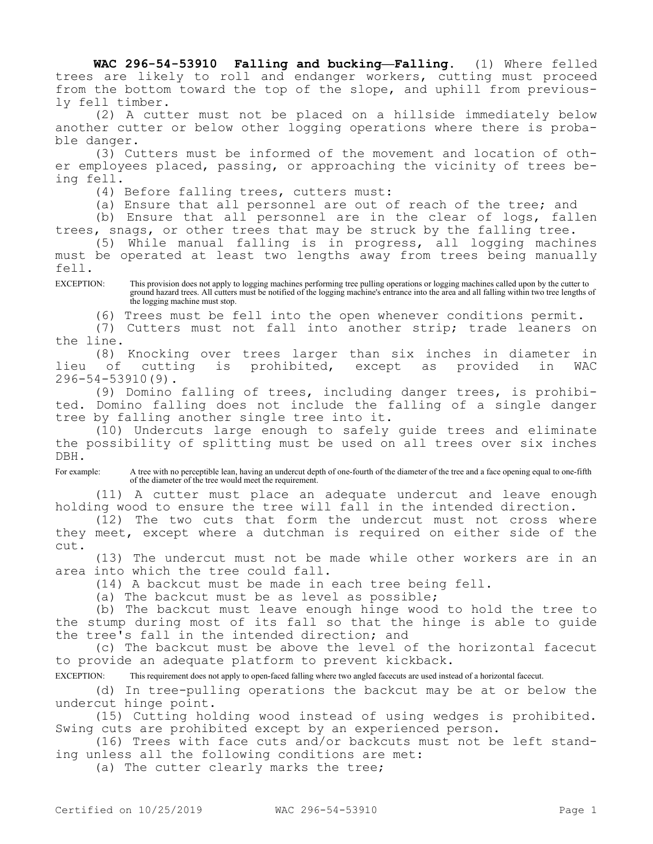**WAC 296-54-53910 Falling and bucking—Falling.** (1) Where felled trees are likely to roll and endanger workers, cutting must proceed from the bottom toward the top of the slope, and uphill from previously fell timber.

(2) A cutter must not be placed on a hillside immediately below another cutter or below other logging operations where there is probable danger.

(3) Cutters must be informed of the movement and location of other employees placed, passing, or approaching the vicinity of trees being fell.

(4) Before falling trees, cutters must:

(a) Ensure that all personnel are out of reach of the tree; and

(b) Ensure that all personnel are in the clear of logs, fallen trees, snags, or other trees that may be struck by the falling tree.

(5) While manual falling is in progress, all logging machines must be operated at least two lengths away from trees being manually fell.

EXCEPTION: This provision does not apply to logging machines performing tree pulling operations or logging machines called upon by the cutter to ground hazard trees. All cutters must be notified of the logging machine's entrance into the area and all falling within two tree lengths of the logging machine must stop.

(6) Trees must be fell into the open whenever conditions permit.

(7) Cutters must not fall into another strip; trade leaners on the line.

(8) Knocking over trees larger than six inches in diameter in<br>of cutting is prohibited, except as provided in WAC lieu of cutting is prohibited, except as provided in WAC 296-54-53910(9).

(9) Domino falling of trees, including danger trees, is prohibited. Domino falling does not include the falling of a single danger tree by falling another single tree into it.

(10) Undercuts large enough to safely guide trees and eliminate the possibility of splitting must be used on all trees over six inches DBH.

For example: A tree with no perceptible lean, having an undercut depth of one-fourth of the diameter of the tree and a face opening equal to one-fifth of the diameter of the tree would meet the requirement.

(11) A cutter must place an adequate undercut and leave enough holding wood to ensure the tree will fall in the intended direction.

(12) The two cuts that form the undercut must not cross where they meet, except where a dutchman is required on either side of the cut.

(13) The undercut must not be made while other workers are in an area into which the tree could fall.

(14) A backcut must be made in each tree being fell.

(a) The backcut must be as level as possible;

(b) The backcut must leave enough hinge wood to hold the tree to the stump during most of its fall so that the hinge is able to guide the tree's fall in the intended direction; and

(c) The backcut must be above the level of the horizontal facecut to provide an adequate platform to prevent kickback.

EXCEPTION: This requirement does not apply to open-faced falling where two angled facecuts are used instead of a horizontal facecut.

(d) In tree-pulling operations the backcut may be at or below the undercut hinge point.

(15) Cutting holding wood instead of using wedges is prohibited. Swing cuts are prohibited except by an experienced person.

(16) Trees with face cuts and/or backcuts must not be left standing unless all the following conditions are met:

(a) The cutter clearly marks the tree;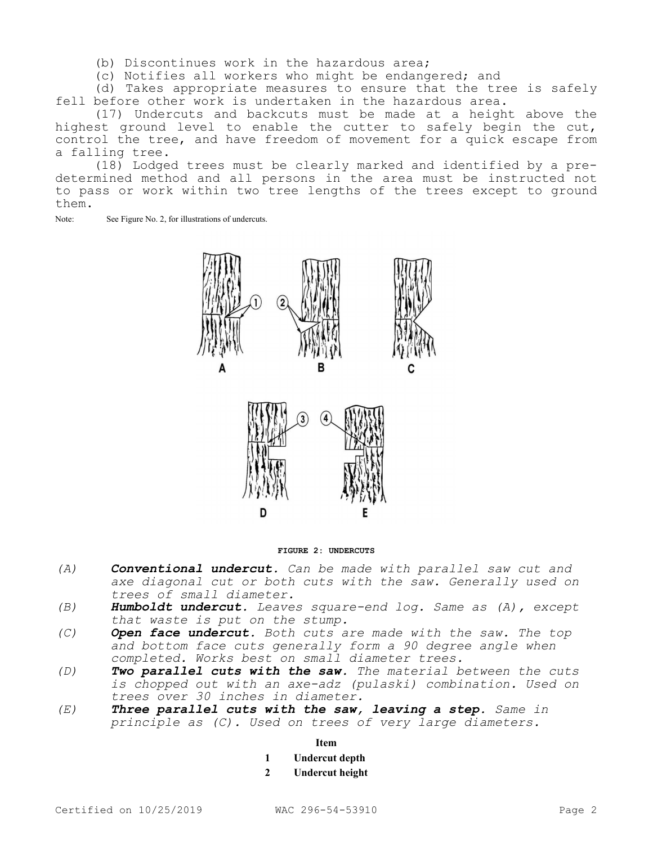- (b) Discontinues work in the hazardous area;
- (c) Notifies all workers who might be endangered; and

(d) Takes appropriate measures to ensure that the tree is safely fell before other work is undertaken in the hazardous area.

(17) Undercuts and backcuts must be made at a height above the highest ground level to enable the cutter to safely begin the cut, control the tree, and have freedom of movement for a quick escape from a falling tree.

(18) Lodged trees must be clearly marked and identified by a predetermined method and all persons in the area must be instructed not to pass or work within two tree lengths of the trees except to ground them.

Note: See Figure No. 2, for illustrations of undercuts.



**FIGURE 2: UNDERCUTS**

- *(A) Conventional undercut. Can be made with parallel saw cut and axe diagonal cut or both cuts with the saw. Generally used on trees of small diameter.*
- *(B) Humboldt undercut. Leaves square-end log. Same as (A), except that waste is put on the stump.*
- *(C) Open face undercut. Both cuts are made with the saw. The top and bottom face cuts generally form a 90 degree angle when completed. Works best on small diameter trees.*
- *(D) Two parallel cuts with the saw. The material between the cuts is chopped out with an axe-adz (pulaski) combination. Used on trees over 30 inches in diameter.*
- *(E) Three parallel cuts with the saw, leaving a step. Same in principle as (C). Used on trees of very large diameters.*

## **Item**

- **1 Undercut depth**
- **2 Undercut height**